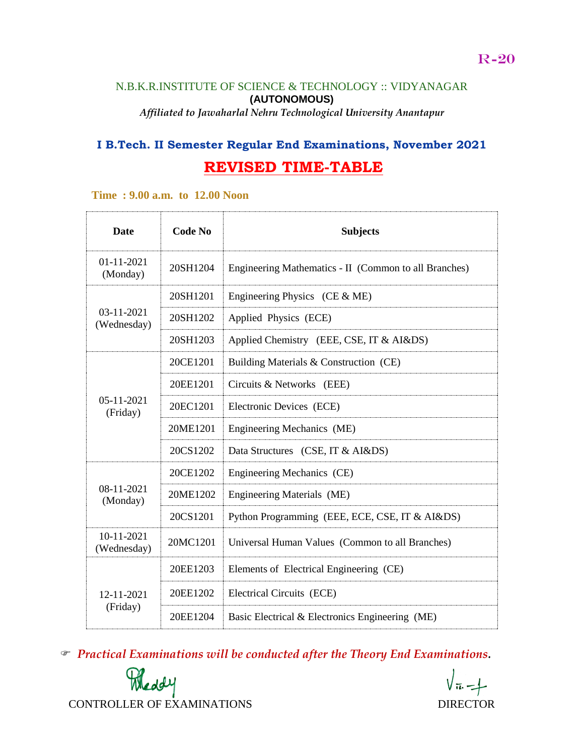### N.B.K.R.INSTITUTE OF SCIENCE & TECHNOLOGY :: VIDYANAGAR **(AUTONOMOUS)** *Affiliated to Jawaharlal Nehru Technological University Anantapur*

# **I B.Tech. II Semester Regular End Examinations, November 2021 REVISED TIME-TABLE**

#### **Time : 9.00 a.m. to 12.00 Noon**

| <b>Date</b>                  | <b>Code No</b> | <b>Subjects</b>                                       |
|------------------------------|----------------|-------------------------------------------------------|
| 01-11-2021<br>(Monday)       | 20SH1204       | Engineering Mathematics - II (Common to all Branches) |
| 03-11-2021<br>(Wednesday)    | 20SH1201       | Engineering Physics (CE $&$ ME)                       |
|                              | 20SH1202       | Applied Physics (ECE)                                 |
|                              | 20SH1203       | Applied Chemistry (EEE, CSE, IT & AI&DS)              |
| $05 - 11 - 2021$<br>(Friday) | 20CE1201       | Building Materials & Construction (CE)                |
|                              | 20EE1201       | Circuits & Networks (EEE)                             |
|                              | 20EC1201       | Electronic Devices (ECE)                              |
|                              | 20ME1201       | Engineering Mechanics (ME)                            |
|                              | 20CS1202       | Data Structures (CSE, IT & AI&DS)                     |
| $08-11-2021$<br>(Monday)     | 20CE1202       | Engineering Mechanics (CE)                            |
|                              | 20ME1202       | Engineering Materials (ME)                            |
|                              | 20CS1201       | Python Programming (EEE, ECE, CSE, IT & AI&DS)        |
| 10-11-2021<br>(Wednesday)    | 20MC1201       | Universal Human Values (Common to all Branches)       |
|                              | 20EE1203       | Elements of Electrical Engineering (CE)               |
| 12-11-2021<br>(Friday)       | 20EE1202       | Electrical Circuits (ECE)                             |
|                              | 20EE1204       | Basic Electrical & Electronics Engineering (ME)       |

*Practical Examinations will be conducted after the Theory End Examinations.* 

Meddy CONTROLLER OF EXAMINATIONS DIRECTOR

 $\sqrt{\pi}$  -